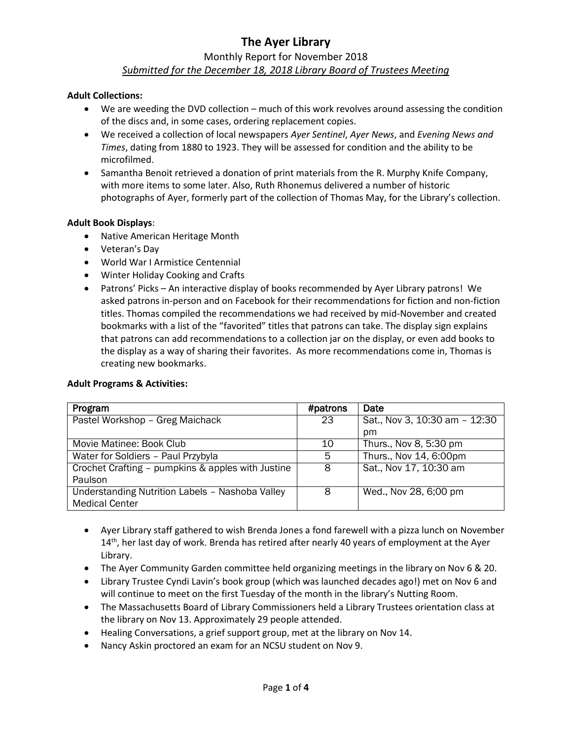# **The Ayer Library**

# Monthly Report for November 2018

# *Submitted for the December 18, 2018 Library Board of Trustees Meeting*

#### **Adult Collections:**

- We are weeding the DVD collection much of this work revolves around assessing the condition of the discs and, in some cases, ordering replacement copies.
- We received a collection of local newspapers *Ayer Sentinel*, *Ayer News*, and *Evening News and Times*, dating from 1880 to 1923. They will be assessed for condition and the ability to be microfilmed.
- Samantha Benoit retrieved a donation of print materials from the R. Murphy Knife Company, with more items to some later. Also, Ruth Rhonemus delivered a number of historic photographs of Ayer, formerly part of the collection of Thomas May, for the Library's collection.

#### **Adult Book Displays**:

- Native American Heritage Month
- Veteran's Day
- World War I Armistice Centennial
- Winter Holiday Cooking and Crafts
- Patrons' Picks An interactive display of books recommended by Ayer Library patrons! We asked patrons in-person and on Facebook for their recommendations for fiction and non-fiction titles. Thomas compiled the recommendations we had received by mid-November and created bookmarks with a list of the "favorited" titles that patrons can take. The display sign explains that patrons can add recommendations to a collection jar on the display, or even add books to the display as a way of sharing their favorites. As more recommendations come in, Thomas is creating new bookmarks.

| Program                                           | #patrons | Date                          |
|---------------------------------------------------|----------|-------------------------------|
| Pastel Workshop - Greg Maichack                   | 23       | Sat., Nov 3, 10:30 am - 12:30 |
|                                                   |          | pm                            |
| Movie Matinee: Book Club                          | 10       | Thurs., Nov 8, 5:30 pm        |
| Water for Soldiers - Paul Przybyla                | 5        | Thurs., Nov 14, 6:00pm        |
| Crochet Crafting - pumpkins & apples with Justine | 8        | Sat., Nov 17, 10:30 am        |
| Paulson                                           |          |                               |
| Understanding Nutrition Labels - Nashoba Valley   | 8        | Wed., Nov 28, 6;00 pm         |
| <b>Medical Center</b>                             |          |                               |

### **Adult Programs & Activities:**

- Ayer Library staff gathered to wish Brenda Jones a fond farewell with a pizza lunch on November 14<sup>th</sup>, her last day of work. Brenda has retired after nearly 40 years of employment at the Ayer Library.
- The Ayer Community Garden committee held organizing meetings in the library on Nov 6 & 20.
- Library Trustee Cyndi Lavin's book group (which was launched decades ago!) met on Nov 6 and will continue to meet on the first Tuesday of the month in the library's Nutting Room.
- The Massachusetts Board of Library Commissioners held a Library Trustees orientation class at the library on Nov 13. Approximately 29 people attended.
- Healing Conversations, a grief support group, met at the library on Nov 14.
- Nancy Askin proctored an exam for an NCSU student on Nov 9.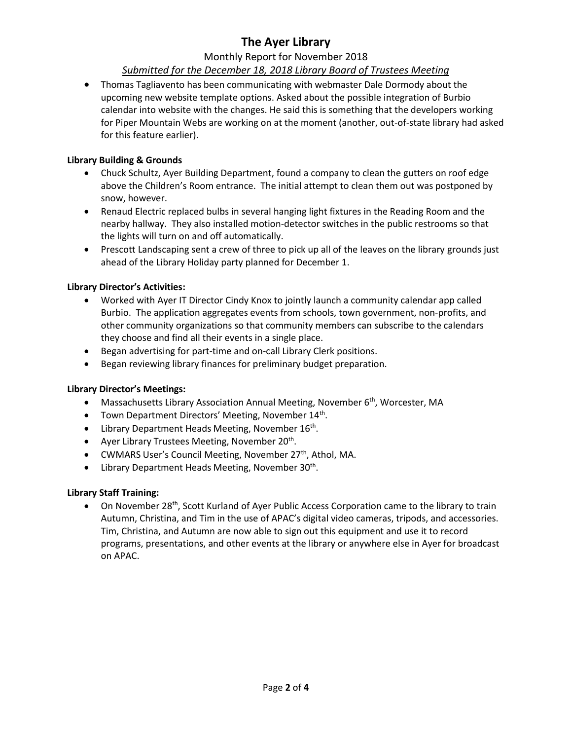# **The Ayer Library**

# Monthly Report for November 2018

# *Submitted for the December 18, 2018 Library Board of Trustees Meeting*

 Thomas Tagliavento has been communicating with webmaster Dale Dormody about the upcoming new website template options. Asked about the possible integration of Burbio calendar into website with the changes. He said this is something that the developers working for Piper Mountain Webs are working on at the moment (another, out-of-state library had asked for this feature earlier).

# **Library Building & Grounds**

- Chuck Schultz, Ayer Building Department, found a company to clean the gutters on roof edge above the Children's Room entrance. The initial attempt to clean them out was postponed by snow, however.
- Renaud Electric replaced bulbs in several hanging light fixtures in the Reading Room and the nearby hallway. They also installed motion-detector switches in the public restrooms so that the lights will turn on and off automatically.
- Prescott Landscaping sent a crew of three to pick up all of the leaves on the library grounds just ahead of the Library Holiday party planned for December 1.

# **Library Director's Activities:**

- Worked with Ayer IT Director Cindy Knox to jointly launch a community calendar app called Burbio. The application aggregates events from schools, town government, non-profits, and other community organizations so that community members can subscribe to the calendars they choose and find all their events in a single place.
- Began advertising for part-time and on-call Library Clerk positions.
- Began reviewing library finances for preliminary budget preparation.

### **Library Director's Meetings:**

- Massachusetts Library Association Annual Meeting, November 6<sup>th</sup>, Worcester, MA
- Town Department Directors' Meeting, November 14<sup>th</sup>.
- Library Department Heads Meeting, November 16<sup>th</sup>.
- Ayer Library Trustees Meeting, November 20<sup>th</sup>.
- CWMARS User's Council Meeting, November 27<sup>th</sup>, Athol, MA.
- Library Department Heads Meeting, November 30<sup>th</sup>.

### **Library Staff Training:**

• On November 28<sup>th</sup>, Scott Kurland of Ayer Public Access Corporation came to the library to train Autumn, Christina, and Tim in the use of APAC's digital video cameras, tripods, and accessories. Tim, Christina, and Autumn are now able to sign out this equipment and use it to record programs, presentations, and other events at the library or anywhere else in Ayer for broadcast on APAC.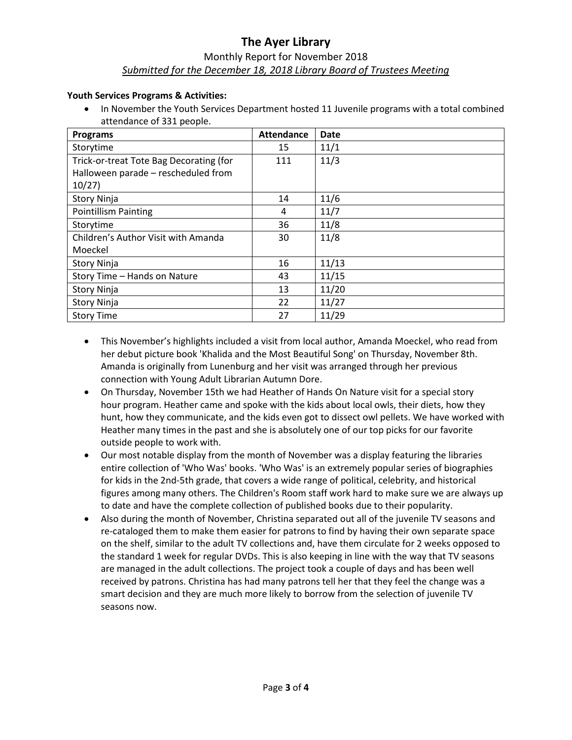# **The Ayer Library** Monthly Report for November 2018 *Submitted for the December 18, 2018 Library Board of Trustees Meeting*

#### **Youth Services Programs & Activities:**

• In November the Youth Services Department hosted 11 Juvenile programs with a total combined attendance of 331 people.

| <b>Programs</b>                         | <b>Attendance</b> | <b>Date</b> |
|-----------------------------------------|-------------------|-------------|
| Storytime                               | 15                | 11/1        |
| Trick-or-treat Tote Bag Decorating (for | 111               | 11/3        |
| Halloween parade - rescheduled from     |                   |             |
| 10/27                                   |                   |             |
| <b>Story Ninja</b>                      | 14                | 11/6        |
| <b>Pointillism Painting</b>             | 4                 | 11/7        |
| Storytime                               | 36                | 11/8        |
| Children's Author Visit with Amanda     | 30                | 11/8        |
| Moeckel                                 |                   |             |
| <b>Story Ninja</b>                      | 16                | 11/13       |
| Story Time - Hands on Nature            | 43                | 11/15       |
| <b>Story Ninja</b>                      | 13                | 11/20       |
| <b>Story Ninja</b>                      | 22                | 11/27       |
| <b>Story Time</b>                       | 27                | 11/29       |

- This November's highlights included a visit from local author, Amanda Moeckel, who read from her debut picture book 'Khalida and the Most Beautiful Song' on Thursday, November 8th. Amanda is originally from Lunenburg and her visit was arranged through her previous connection with Young Adult Librarian Autumn Dore.
- On Thursday, November 15th we had Heather of Hands On Nature visit for a special story hour program. Heather came and spoke with the kids about local owls, their diets, how they hunt, how they communicate, and the kids even got to dissect owl pellets. We have worked with Heather many times in the past and she is absolutely one of our top picks for our favorite outside people to work with.
- Our most notable display from the month of November was a display featuring the libraries entire collection of 'Who Was' books. 'Who Was' is an extremely popular series of biographies for kids in the 2nd-5th grade, that covers a wide range of political, celebrity, and historical figures among many others. The Children's Room staff work hard to make sure we are always up to date and have the complete collection of published books due to their popularity.
- Also during the month of November, Christina separated out all of the juvenile TV seasons and re-cataloged them to make them easier for patrons to find by having their own separate space on the shelf, similar to the adult TV collections and, have them circulate for 2 weeks opposed to the standard 1 week for regular DVDs. This is also keeping in line with the way that TV seasons are managed in the adult collections. The project took a couple of days and has been well received by patrons. Christina has had many patrons tell her that they feel the change was a smart decision and they are much more likely to borrow from the selection of juvenile TV seasons now.